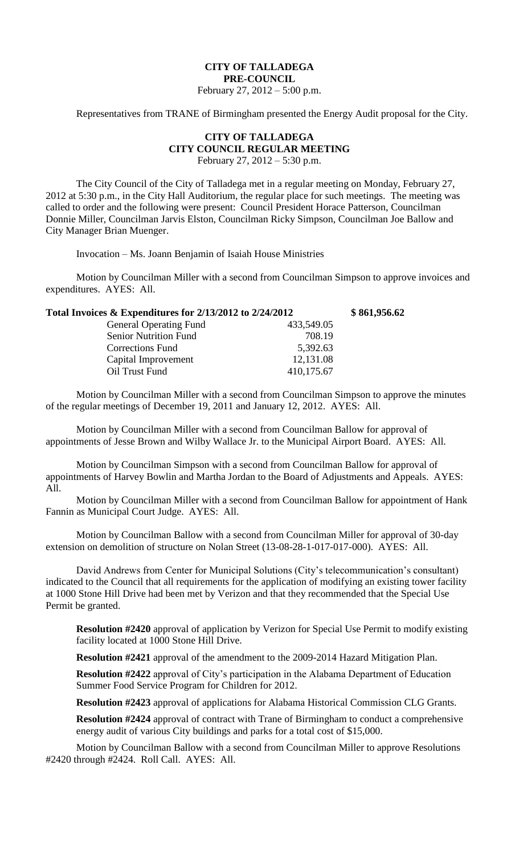## **CITY OF TALLADEGA PRE-COUNCIL**

February 27, 2012 – 5:00 p.m.

Representatives from TRANE of Birmingham presented the Energy Audit proposal for the City.

## **CITY OF TALLADEGA CITY COUNCIL REGULAR MEETING**

February 27, 2012 – 5:30 p.m.

The City Council of the City of Talladega met in a regular meeting on Monday, February 27, 2012 at 5:30 p.m., in the City Hall Auditorium, the regular place for such meetings. The meeting was called to order and the following were present: Council President Horace Patterson, Councilman Donnie Miller, Councilman Jarvis Elston, Councilman Ricky Simpson, Councilman Joe Ballow and City Manager Brian Muenger.

Invocation – Ms. Joann Benjamin of Isaiah House Ministries

Motion by Councilman Miller with a second from Councilman Simpson to approve invoices and expenditures. AYES: All.

| Total Invoices & Expenditures for 2/13/2012 to 2/24/2012 |            | \$861,956.62 |
|----------------------------------------------------------|------------|--------------|
| <b>General Operating Fund</b>                            | 433,549.05 |              |
| <b>Senior Nutrition Fund</b>                             | 708.19     |              |
| <b>Corrections Fund</b>                                  | 5,392.63   |              |
| Capital Improvement                                      | 12,131.08  |              |
| Oil Trust Fund                                           | 410,175.67 |              |
|                                                          |            |              |

Motion by Councilman Miller with a second from Councilman Simpson to approve the minutes of the regular meetings of December 19, 2011 and January 12, 2012. AYES: All.

Motion by Councilman Miller with a second from Councilman Ballow for approval of appointments of Jesse Brown and Wilby Wallace Jr. to the Municipal Airport Board. AYES: All.

Motion by Councilman Simpson with a second from Councilman Ballow for approval of appointments of Harvey Bowlin and Martha Jordan to the Board of Adjustments and Appeals. AYES: All.

Motion by Councilman Miller with a second from Councilman Ballow for appointment of Hank Fannin as Municipal Court Judge. AYES: All.

Motion by Councilman Ballow with a second from Councilman Miller for approval of 30-day extension on demolition of structure on Nolan Street (13-08-28-1-017-017-000). AYES: All.

David Andrews from Center for Municipal Solutions (City's telecommunication's consultant) indicated to the Council that all requirements for the application of modifying an existing tower facility at 1000 Stone Hill Drive had been met by Verizon and that they recommended that the Special Use Permit be granted.

**Resolution #2420** approval of application by Verizon for Special Use Permit to modify existing facility located at 1000 Stone Hill Drive.

**Resolution #2421** approval of the amendment to the 2009-2014 Hazard Mitigation Plan.

**Resolution #2422** approval of City's participation in the Alabama Department of Education Summer Food Service Program for Children for 2012.

**Resolution #2423** approval of applications for Alabama Historical Commission CLG Grants.

**Resolution #2424** approval of contract with Trane of Birmingham to conduct a comprehensive energy audit of various City buildings and parks for a total cost of \$15,000.

Motion by Councilman Ballow with a second from Councilman Miller to approve Resolutions #2420 through #2424. Roll Call. AYES: All.